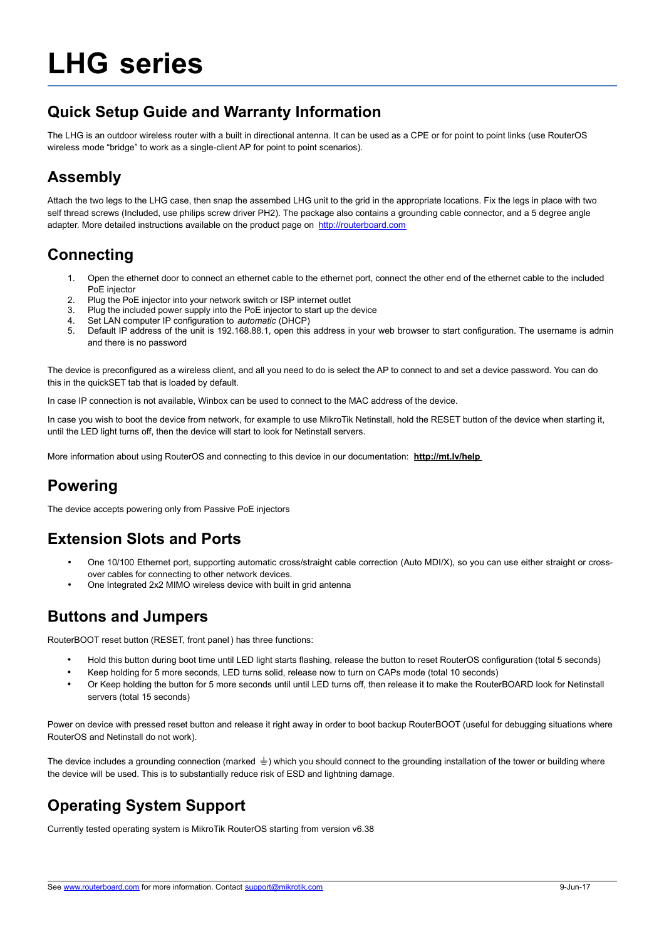# **LHG series**

## **Quick Setup Guide and Warranty Information**

The LHG is an outdoor wireless router with a built in directional antenna. It can be used as a CPE or for point to point links (use RouterOS wireless mode "bridge" to work as a single-client AP for point to point scenarios).

## **Assembly**

Attach the two legs to the LHG case, then snap the assembed LHG unit to the grid in the appropriate locations. Fix the legs in place with two self thread screws (Included, use philips screw driver PH2). The package also contains a grounding cable connector, and a 5 degree angle adapter. More detailed instructions available on the product page on [http://routerboard.com](http://routerboard.com/)

# **Connecting**

- 1. Open the ethernet door to connect an ethernet cable to the ethernet port, connect the other end of the ethernet cable to the included PoE injector
- 2. Plug the PoE injector into your network switch or ISP internet outlet
- 3. Plug the included power supply into the PoE injector to start up the device
- 4. Set LAN computer IP configuration to *automatic* (DHCP)
- 5. Default IP address of the unit is 192.168.88.1, open this address in your web browser to start configuration. The username is admin and there is no password

The device is preconfigured as a wireless client, and all you need to do is select the AP to connect to and set a device password. You can do this in the quickSET tab that is loaded by default.

In case IP connection is not available, Winbox can be used to connect to the MAC address of the device.

In case you wish to boot the device from network, for example to use MikroTik Netinstall, hold the RESET button of the device when starting it, until the LED light turns off, then the device will start to look for Netinstall servers.

More information about using RouterOS and connecting to this device in our documentation: **http://mt.lv/help** 

## **Powering**

The device accepts powering only from Passive PoE injectors

# **Extension Slots and Ports**

- One 10/100 Ethernet port, supporting automatic cross/straight cable correction (Auto MDI/X), so you can use either straight or crossover cables for connecting to other network devices.
- One Integrated 2x2 MIMO wireless device with built in grid antenna

#### **Buttons and Jumpers**

RouterBOOT reset button (RESET, front panel) has three functions:

- Hold this button during boot time until LED light starts flashing, release the button to reset RouterOS configuration (total 5 seconds)
- Keep holding for 5 more seconds, LED turns solid, release now to turn on CAPs mode (total 10 seconds)
- Or Keep holding the button for 5 more seconds until until LED turns off, then release it to make the RouterBOARD look for Netinstall servers (total 15 seconds)

Power on device with pressed reset button and release it right away in order to boot backup RouterBOOT (useful for debugging situations where RouterOS and Netinstall do not work).

The device includes a grounding connection (marked  $\pm$ ) which you should connect to the grounding installation of the tower or building where the device will be used. This is to substantially reduce risk of ESD and lightning damage.

# **Operating System Support**

Currently tested operating system is MikroTik RouterOS starting from version v6.38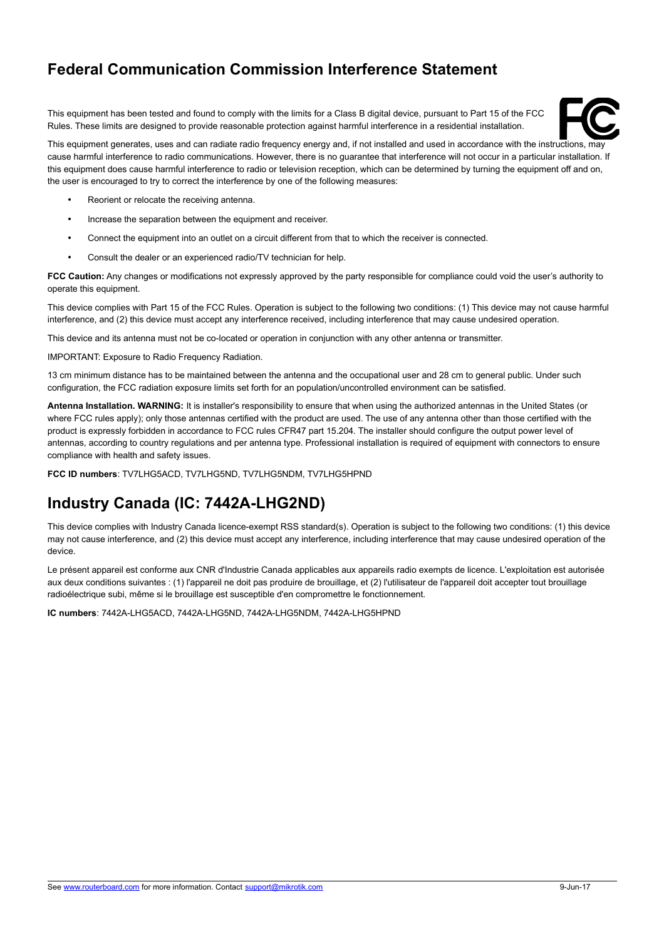## **Federal Communication Commission Interference Statement**

This equipment has been tested and found to comply with the limits for a Class B digital device, pursuant to Part 15 of the FCC Rules. These limits are designed to provide reasonable protection against harmful interference in a residential installation.



This equipment generates, uses and can radiate radio frequency energy and, if not installed and used in accordance with the instructions, may cause harmful interference to radio communications. However, there is no guarantee that interference will not occur in a particular installation. If this equipment does cause harmful interference to radio or television reception, which can be determined by turning the equipment off and on, the user is encouraged to try to correct the interference by one of the following measures:

- Reorient or relocate the receiving antenna.
- Increase the separation between the equipment and receiver.
- Connect the equipment into an outlet on a circuit different from that to which the receiver is connected.
- Consult the dealer or an experienced radio/TV technician for help.

**FCC Caution:** Any changes or modifications not expressly approved by the party responsible for compliance could void the user's authority to operate this equipment.

This device complies with Part 15 of the FCC Rules. Operation is subject to the following two conditions: (1) This device may not cause harmful interference, and (2) this device must accept any interference received, including interference that may cause undesired operation.

This device and its antenna must not be co-located or operation in conjunction with any other antenna or transmitter.

IMPORTANT: Exposure to Radio Frequency Radiation.

13 cm minimum distance has to be maintained between the antenna and the occupational user and 28 cm to general public. Under such configuration, the FCC radiation exposure limits set forth for an population/uncontrolled environment can be satisfied.

**Antenna Installation. WARNING:** It is installer's responsibility to ensure that when using the authorized antennas in the United States (or where FCC rules apply); only those antennas certified with the product are used. The use of any antenna other than those certified with the product is expressly forbidden in accordance to FCC rules CFR47 part 15.204. The installer should configure the output power level of antennas, according to country regulations and per antenna type. Professional installation is required of equipment with connectors to ensure compliance with health and safety issues.

**FCC ID numbers**: TV7LHG5ACD, TV7LHG5ND, TV7LHG5NDM, TV7LHG5HPND

# **Industry Canada (IC: 7442A-LHG2ND)**

This device complies with Industry Canada licence-exempt RSS standard(s). Operation is subject to the following two conditions: (1) this device may not cause interference, and (2) this device must accept any interference, including interference that may cause undesired operation of the device.

Le présent appareil est conforme aux CNR d'Industrie Canada applicables aux appareils radio exempts de licence. L'exploitation est autorisée aux deux conditions suivantes : (1) l'appareil ne doit pas produire de brouillage, et (2) l'utilisateur de l'appareil doit accepter tout brouillage radioélectrique subi, même si le brouillage est susceptible d'en compromettre le fonctionnement.

**IC numbers**: 7442A-LHG5ACD, 7442A-LHG5ND, 7442A-LHG5NDM, 7442A-LHG5HPND